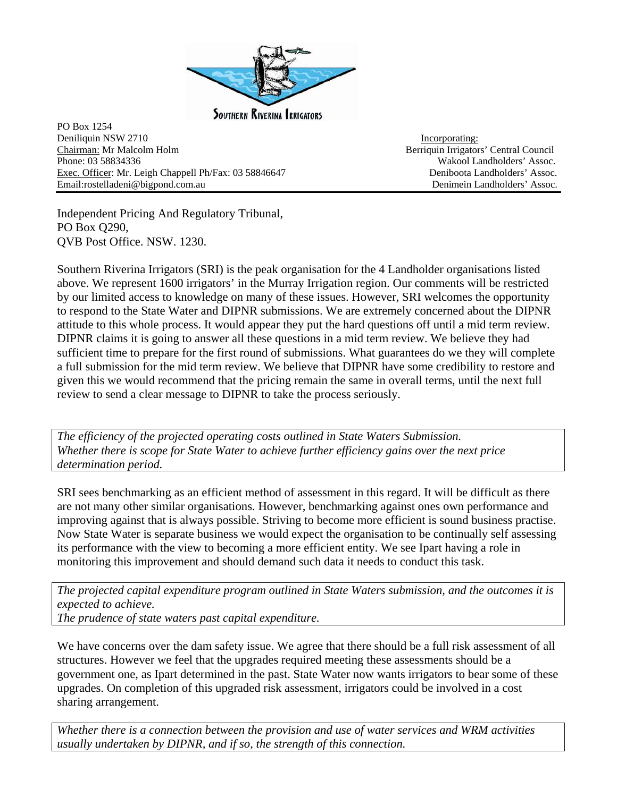

**SOUTHERN RIVERINA IRRIGATORS** 

PO Box 1254 Deniliquin NSW 2710 Incorporating: Chairman: Mr Malcolm Holm Berriquin Irrigators' Central Council Phone: 03 58834336 Wakool Landholders' Assoc. Exec. Officer: Mr. Leigh Chappell Ph/Fax: 03 58846647 Deniboota Landholders' Assoc. Email:rostelladeni@bigpond.com.au Denimein Landholders' Assoc.

Independent Pricing And Regulatory Tribunal, PO Box Q290, QVB Post Office. NSW. 1230.

Southern Riverina Irrigators (SRI) is the peak organisation for the 4 Landholder organisations listed above. We represent 1600 irrigators' in the Murray Irrigation region. Our comments will be restricted by our limited access to knowledge on many of these issues. However, SRI welcomes the opportunity to respond to the State Water and DIPNR submissions. We are extremely concerned about the DIPNR attitude to this whole process. It would appear they put the hard questions off until a mid term review. DIPNR claims it is going to answer all these questions in a mid term review. We believe they had sufficient time to prepare for the first round of submissions. What guarantees do we they will complete a full submission for the mid term review. We believe that DIPNR have some credibility to restore and given this we would recommend that the pricing remain the same in overall terms, until the next full review to send a clear message to DIPNR to take the process seriously.

*The efficiency of the projected operating costs outlined in State Waters Submission. Whether there is scope for State Water to achieve further efficiency gains over the next price determination period.* 

SRI sees benchmarking as an efficient method of assessment in this regard. It will be difficult as there are not many other similar organisations. However, benchmarking against ones own performance and improving against that is always possible. Striving to become more efficient is sound business practise. Now State Water is separate business we would expect the organisation to be continually self assessing its performance with the view to becoming a more efficient entity. We see Ipart having a role in monitoring this improvement and should demand such data it needs to conduct this task.

*The projected capital expenditure program outlined in State Waters submission, and the outcomes it is expected to achieve.* 

*The prudence of state waters past capital expenditure.*

We have concerns over the dam safety issue. We agree that there should be a full risk assessment of all structures. However we feel that the upgrades required meeting these assessments should be a government one, as Ipart determined in the past. State Water now wants irrigators to bear some of these upgrades. On completion of this upgraded risk assessment, irrigators could be involved in a cost sharing arrangement.

*Whether there is a connection between the provision and use of water services and WRM activities usually undertaken by DIPNR, and if so, the strength of this connection.*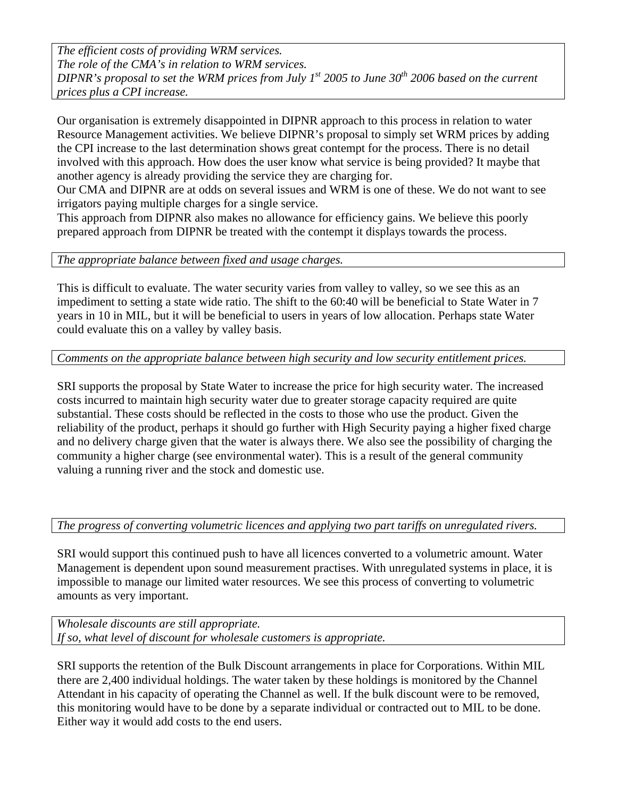*The efficient costs of providing WRM services. The role of the CMA's in relation to WRM services. DIPNR's proposal to set the WRM prices from July 1st 2005 to June 30<sup>th</sup> 2006 based on the current prices plus a CPI increase.* 

Our organisation is extremely disappointed in DIPNR approach to this process in relation to water Resource Management activities. We believe DIPNR's proposal to simply set WRM prices by adding the CPI increase to the last determination shows great contempt for the process. There is no detail involved with this approach. How does the user know what service is being provided? It maybe that another agency is already providing the service they are charging for.

Our CMA and DIPNR are at odds on several issues and WRM is one of these. We do not want to see irrigators paying multiple charges for a single service.

This approach from DIPNR also makes no allowance for efficiency gains. We believe this poorly prepared approach from DIPNR be treated with the contempt it displays towards the process.

*The appropriate balance between fixed and usage charges.* 

This is difficult to evaluate. The water security varies from valley to valley, so we see this as an impediment to setting a state wide ratio. The shift to the 60:40 will be beneficial to State Water in 7 years in 10 in MIL, but it will be beneficial to users in years of low allocation. Perhaps state Water could evaluate this on a valley by valley basis.

*Comments on the appropriate balance between high security and low security entitlement prices.* 

SRI supports the proposal by State Water to increase the price for high security water. The increased costs incurred to maintain high security water due to greater storage capacity required are quite substantial. These costs should be reflected in the costs to those who use the product. Given the reliability of the product, perhaps it should go further with High Security paying a higher fixed charge and no delivery charge given that the water is always there. We also see the possibility of charging the community a higher charge (see environmental water). This is a result of the general community valuing a running river and the stock and domestic use.

## *The progress of converting volumetric licences and applying two part tariffs on unregulated rivers.*

SRI would support this continued push to have all licences converted to a volumetric amount. Water Management is dependent upon sound measurement practises. With unregulated systems in place, it is impossible to manage our limited water resources. We see this process of converting to volumetric amounts as very important.

*Wholesale discounts are still appropriate. If so, what level of discount for wholesale customers is appropriate.* 

SRI supports the retention of the Bulk Discount arrangements in place for Corporations. Within MIL there are 2,400 individual holdings. The water taken by these holdings is monitored by the Channel Attendant in his capacity of operating the Channel as well. If the bulk discount were to be removed, this monitoring would have to be done by a separate individual or contracted out to MIL to be done. Either way it would add costs to the end users.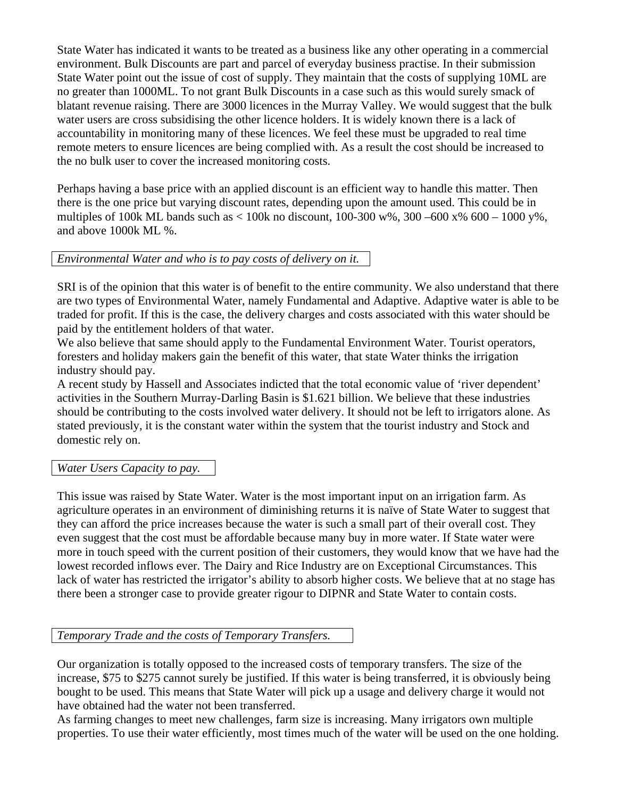State Water has indicated it wants to be treated as a business like any other operating in a commercial environment. Bulk Discounts are part and parcel of everyday business practise. In their submission State Water point out the issue of cost of supply. They maintain that the costs of supplying 10ML are no greater than 1000ML. To not grant Bulk Discounts in a case such as this would surely smack of blatant revenue raising. There are 3000 licences in the Murray Valley. We would suggest that the bulk water users are cross subsidising the other licence holders. It is widely known there is a lack of accountability in monitoring many of these licences. We feel these must be upgraded to real time remote meters to ensure licences are being complied with. As a result the cost should be increased to the no bulk user to cover the increased monitoring costs.

Perhaps having a base price with an applied discount is an efficient way to handle this matter. Then there is the one price but varying discount rates, depending upon the amount used. This could be in multiples of 100k ML bands such as  $\lt$  100k no discount, 100-300 w%, 300 –600 x% 600 – 1000 y%, and above 1000k ML %.

## *Environmental Water and who is to pay costs of delivery on it.*

SRI is of the opinion that this water is of benefit to the entire community. We also understand that there are two types of Environmental Water, namely Fundamental and Adaptive. Adaptive water is able to be traded for profit. If this is the case, the delivery charges and costs associated with this water should be paid by the entitlement holders of that water.

We also believe that same should apply to the Fundamental Environment Water. Tourist operators, foresters and holiday makers gain the benefit of this water, that state Water thinks the irrigation industry should pay.

A recent study by Hassell and Associates indicted that the total economic value of 'river dependent' activities in the Southern Murray-Darling Basin is \$1.621 billion. We believe that these industries should be contributing to the costs involved water delivery. It should not be left to irrigators alone. As stated previously, it is the constant water within the system that the tourist industry and Stock and domestic rely on.

## *Water Users Capacity to pay.*

This issue was raised by State Water. Water is the most important input on an irrigation farm. As agriculture operates in an environment of diminishing returns it is naïve of State Water to suggest that they can afford the price increases because the water is such a small part of their overall cost. They even suggest that the cost must be affordable because many buy in more water. If State water were more in touch speed with the current position of their customers, they would know that we have had the lowest recorded inflows ever. The Dairy and Rice Industry are on Exceptional Circumstances. This lack of water has restricted the irrigator's ability to absorb higher costs. We believe that at no stage has there been a stronger case to provide greater rigour to DIPNR and State Water to contain costs.

## *Temporary Trade and the costs of Temporary Transfers.*

Our organization is totally opposed to the increased costs of temporary transfers. The size of the increase, \$75 to \$275 cannot surely be justified. If this water is being transferred, it is obviously being bought to be used. This means that State Water will pick up a usage and delivery charge it would not have obtained had the water not been transferred.

As farming changes to meet new challenges, farm size is increasing. Many irrigators own multiple properties. To use their water efficiently, most times much of the water will be used on the one holding.